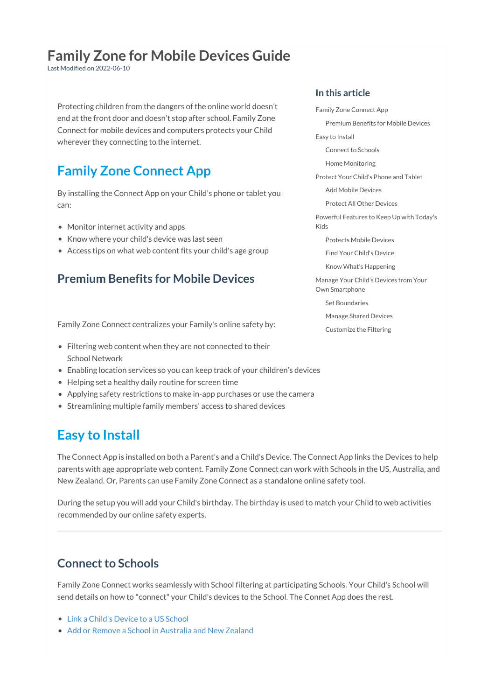# **Family Zone for Mobile Devices Guide**

Last Modified on 2022-06-10

Protecting children from the dangers of the online world doesn't end at the front door and doesn't stop after school. Family Zone Connect for mobile devices and computers protects your Child wherever they connecting to the internet.

# **Family Zone Connect App**

By installing the Connect App on your Child's phone or tablet you can:

- Monitor internet activity and apps
- Know where your child's device was last seen
- Access tips on what web content fits your child's age group

### **Premium Benefits for Mobile Devices**

Family Zone Connect centralizes your Family's online safety by:

- Filtering web content when they are not connected to their School Network
- Enabling location services so you can keep track of your children's devices
- Helping set a healthy daily routine for screen time
- Applying safety restrictions to make in-app purchases or use the camera
- Streamlining multiple family members' access to shared devices

## **Easy to Install**

The Connect App is installed on both a Parent's and a Child's Device. The Connect App links the Devices to help parents with age appropriate web content. Family Zone Connect can work with Schools in the US, Australia, and New Zealand. Or, Parents can use Family Zone Connect as a standalone online safety tool.

During the setup you will add your Child's birthday. The birthday is used to match your Child to web activities recommended by our online safety experts.

### **Connect to Schools**

Family Zone Connect works seamlessly with School filtering at participating Schools. Your Child's School will send details on how to "connect" your Child's devices to the School. The Connet App does the rest.

- Link a Child's [Device](http://docs.familyzone.com/help/link-child-us-school) to a US School
- Add or Remove a School in [Australia](http://docs.familyzone.com/help/how-to-add-edit-childs-school-anz-android) and New Zealand

#### **In this article**

Family Zone [Connect](http://docs.familyzone.com/#family-zone-connect-app) App

[Premium](http://docs.familyzone.com/#premium-benefits-for-mobile-devices) Benefits for Mobile Devices

Easy to [Install](http://docs.familyzone.com/#easy-to-install)

[Connect](http://docs.familyzone.com/#connect-to-schools) to Schools

Home [Monitoring](http://docs.familyzone.com/#home-monitoring)

[Protect](http://docs.familyzone.com/#protect-your-child-s-phone-and-tablet) Your Child's Phone and Tablet

Add Mobile [Devices](http://docs.familyzone.com/#add-mobile-devices)

Protect All Other [Devices](http://docs.familyzone.com/#protect-all-other-devices)

[Powerful](http://docs.familyzone.com/#powerful-features-to-keep-up-with-today-s-kids) Features to Keep Up with Today's Kids

[Protects](http://docs.familyzone.com/#protects-mobile-devices) Mobile Devices

Find Your Child's [Device](http://docs.familyzone.com/#find-your-child-s-device)

Know What's [Happening](http://docs.familyzone.com/#know-what-s-happening)

Manage Your Child's Devices from Your Own [Smartphone](http://docs.familyzone.com/#manage-your-child%E2%80%99s-devices-from-your-own-smartphone)

Set [Boundaries](http://docs.familyzone.com/#set-boundaries)

[Manage](http://docs.familyzone.com/#manage-shared-devices) Shared Devices

[Customize](http://docs.familyzone.com/#customize-the-filtering) the Filtering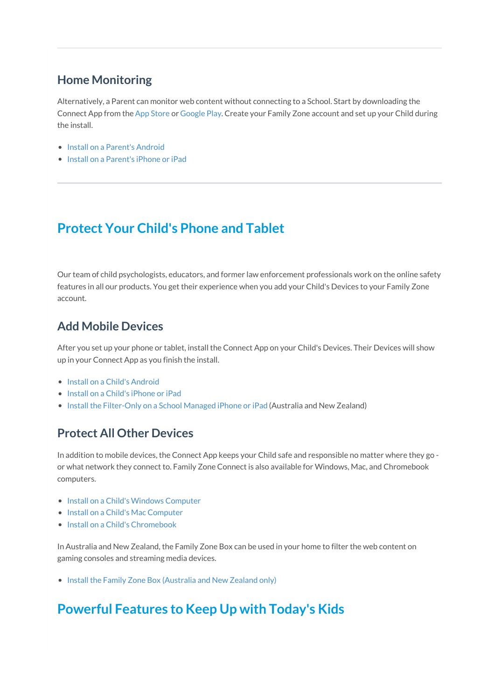### **Home Monitoring**

Alternatively, a Parent can monitor web content without connecting to a School. Start by downloading the Connect App from the App [Store](https://apps.apple.com/app/mobile-zone-for-child-devices/id1062506254) or [Google](https://play.google.com/store/apps/details?id=au.com.familyzone) Play. Create your Family Zone account and set up your Child during the install.

- Install on a [Parent's](http://docs.familyzone.com/help/how-to-install-setup-connect-android-app) Android
- Install on a [Parent's](http://docs.familyzone.com/help/install-setup-ios-app) iPhone or iPad

# **Protect Your Child's Phone and Tablet**

Our team of child psychologists, educators, and former law enforcement professionals work on the online safety features in all our products. You get their experience when you add your Child's Devices to your Family Zone account.

#### **Add Mobile Devices**

After you set up your phone or tablet, install the Connect App on your Child's Devices. Their Devices will show up in your Connect App as you finish the install.

- Install on a Child's [Android](http://docs.familyzone.com/help/how-to-install-setup-child-android)
- Install on a Child's [iPhone](http://docs.familyzone.com/help/how-to-install-setup-child-ios) or iPad
- Install the [Filter-Only](http://docs.familyzone.com/help/filter-only-school-managed-ios) on a School Managed iPhone or iPad (Australia and New Zealand)

### **Protect All Other Devices**

In addition to mobile devices, the Connect App keeps your Child safe and responsible no matter where they go or what network they connect to. Family Zone Connect is also available for Windows, Mac, and Chromebook computers.

- Install on a Child's Windows [Computer](http://docs.familyzone.com/help/install-and-setup-a-childs-windows-device)
- Install on a Child's Mac [Computer](http://docs.familyzone.com/help/install-and-setup-a-childs-macos)
- Install on a Child's [Chromebook](http://docs.familyzone.com/help/install-and-setup-a-childs-chromebook)

In Australia and New Zealand, the Family Zone Box can be used in your home to filter the web content on gaming consoles and streaming media devices.

• Install the Family Zone Box [\(Australia](http://docs.familyzone.com/help/install-and-setup-family-zone-box) and New Zealand only)

# **Powerful Features to Keep Up with Today's Kids**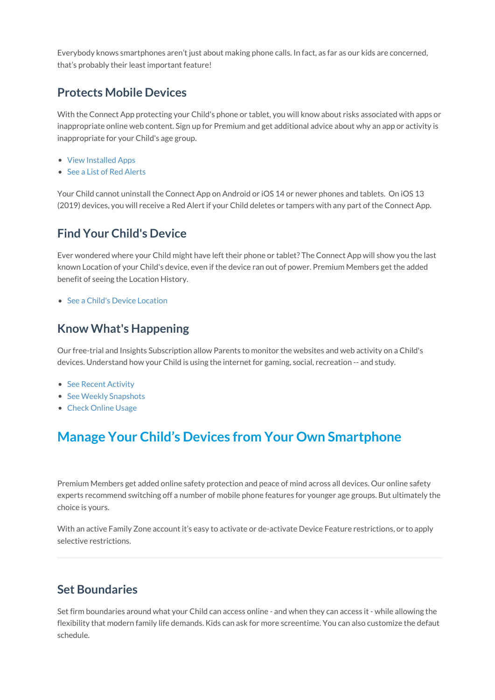Everybody knows smartphones aren't just about making phone calls. In fact, as far as our kids are concerned, that's probably their least important feature!

#### **Protects Mobile Devices**

With the Connect App protecting your Child's phone or tablet, you will know about risks associated with apps or inappropriate online web content. Sign up for Premium and get additional advice about why an app or activity is inappropriate for your Child's age group.

- View [Installed](http://docs.familyzone.com/help/seeing-what-apps-your-child-has-installed) Apps
- See a List of Red [Alerts](http://docs.familyzone.com/help/see-a-list-of-red-alerts)

Your Child cannot uninstall the Connect App on Android or iOS 14 or newer phones and tablets. On iOS 13 (2019) devices, you will receive a Red Alert if your Child deletes or tampers with any part of the Connect App.

### **Find Your Child's Device**

Ever wondered where your Child might have left their phone or tablet? The Connect App will show you the last known Location of your Child's device, even if the device ran out of power. Premium Members get the added benefit of seeing the Location History.

● See a Child's Device [Location](http://docs.familyzone.com/help/see-location-activity)

#### **Know What's Happening**

Our free-trial and Insights Subscription allow Parents to monitor the websites and web activity on a Child's devices. Understand how your Child is using the internet for gaming, social, recreation -- and study.

- See Recent [Activity](http://docs.familyzone.com/help/see-childs-recent-activity)
- See Weekly [Snapshots](http://docs.familyzone.com/help/see-snapshots)
- Check [Online](http://docs.familyzone.com/help/see-usage) Usage

# **Manage Your Child's Devices from Your Own Smartphone**

Premium Members get added online safety protection and peace of mind across all devices. Our online safety experts recommend switching off a number of mobile phone features for younger age groups. But ultimately the choice is yours.

With an active Family Zone account it's easy to activate or de-activate Device Feature restrictions, or to apply selective restrictions.

### **Set Boundaries**

Set firm boundaries around what your Child can access online - and when they can access it - while allowing the flexibility that modern family life demands. Kids can ask for more screentime. You can also customize the defaut schedule.